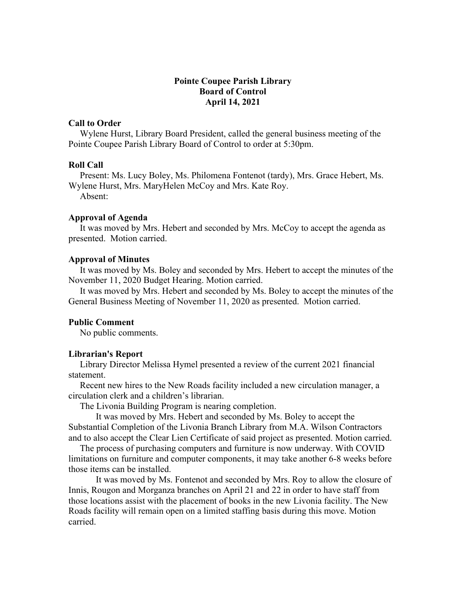## **Pointe Coupee Parish Library Board of Control April 14, 2021**

### **Call to Order**

 Wylene Hurst, Library Board President, called the general business meeting of the Pointe Coupee Parish Library Board of Control to order at 5:30pm.

#### **Roll Call**

 Present: Ms. Lucy Boley, Ms. Philomena Fontenot (tardy), Mrs. Grace Hebert, Ms. Wylene Hurst, Mrs. MaryHelen McCoy and Mrs. Kate Roy.

Absent:

### **Approval of Agenda**

 It was moved by Mrs. Hebert and seconded by Mrs. McCoy to accept the agenda as presented. Motion carried.

#### **Approval of Minutes**

 It was moved by Ms. Boley and seconded by Mrs. Hebert to accept the minutes of the November 11, 2020 Budget Hearing. Motion carried.

 It was moved by Mrs. Hebert and seconded by Ms. Boley to accept the minutes of the General Business Meeting of November 11, 2020 as presented. Motion carried.

#### **Public Comment**

No public comments.

#### **Librarian's Report**

 Library Director Melissa Hymel presented a review of the current 2021 financial statement.

 Recent new hires to the New Roads facility included a new circulation manager, a circulation clerk and a children's librarian.

The Livonia Building Program is nearing completion.

It was moved by Mrs. Hebert and seconded by Ms. Boley to accept the Substantial Completion of the Livonia Branch Library from M.A. Wilson Contractors and to also accept the Clear Lien Certificate of said project as presented. Motion carried.

 The process of purchasing computers and furniture is now underway. With COVID limitations on furniture and computer components, it may take another 6-8 weeks before those items can be installed.

It was moved by Ms. Fontenot and seconded by Mrs. Roy to allow the closure of Innis, Rougon and Morganza branches on April 21 and 22 in order to have staff from those locations assist with the placement of books in the new Livonia facility. The New Roads facility will remain open on a limited staffing basis during this move. Motion carried.